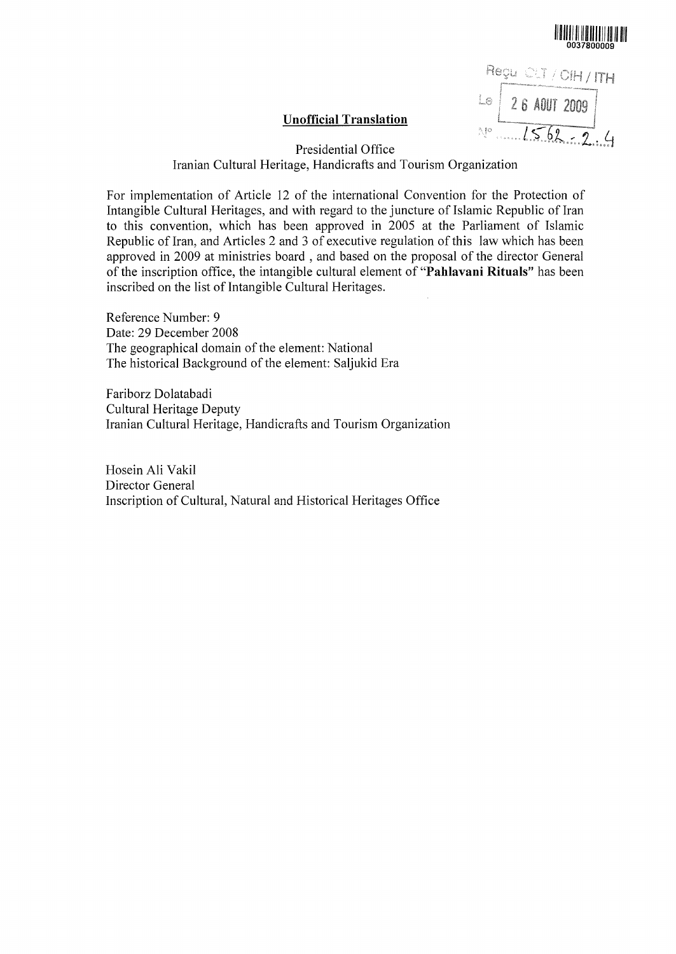

#### **Unofficial Translation**

 $\frac{L_{e}C_{U}C_{H}/TH}{26$  AOUT 2009

Regu CLT / OIH / ITH

Presidential Office Iranian Cultural Heritage, Handicrafts and Tourism Organization

For implementation of Article 12 of the international Convention for the Protection of Intangible Cultural Heritages, and with regard to the juncture of Islamic Republic of Iran to this convention, which has been approved in 2005 at the Parliament of Islamic Republic of Iran, and Articles 2 and 3 of executive regulation of this law which has been approved in 2009 at ministries board , and based on the proposal of the director General of the inscription office, the intangible cultural element of "Pahlavani Rituals" has been inscribed on the list of Intangible Cultural Heritages.

Reference Number: 9 Date: 29 December 2008 The geographical domain of the element: National The historical Background of the element: Saljukid Era

Fariborz Dolatabadi Cultural Heritage Deputy Iranian Cultural Heritage, Handicrafts and Tourism Organization

Hosein Ali Vakil Director General Inscription of Cultural, Natural and Historical Heritages Office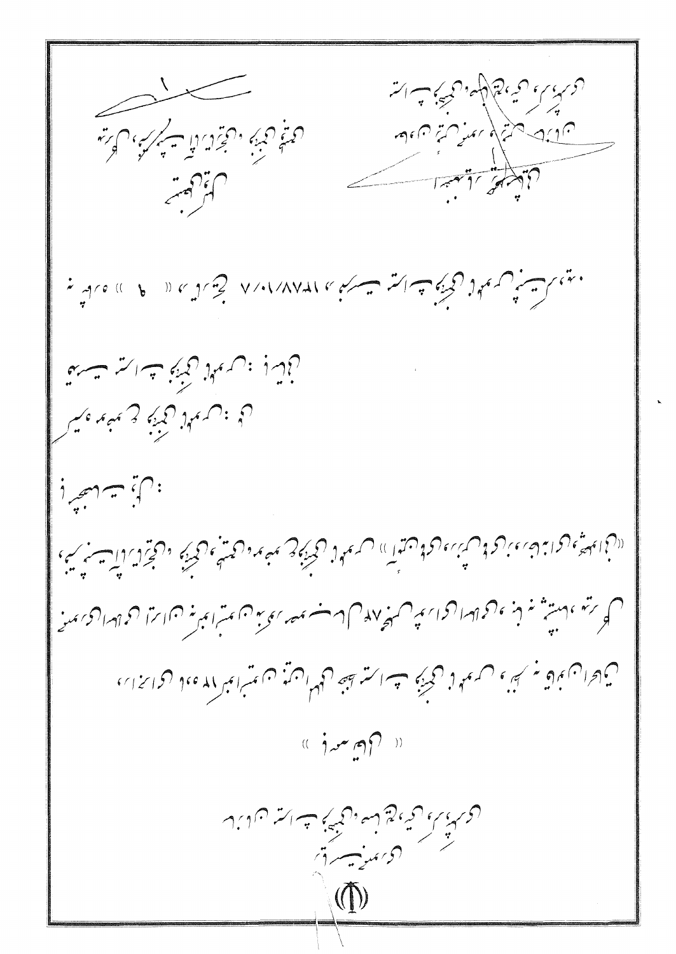اكر مريم ، اكيه، التجويج البدراسة.<br>اكر مريم ، اكيه التجويج البدراسي /;.//..:..~.'... ~~\_r~{~."~~~*\_\_*::7 امني امريكي والمجتملة الإي<del>سي</del>كريب المرسمة  $\frac{1}{\sqrt{1-\frac{1}{2}}\sqrt{\frac{1}{2}}\sqrt{\frac{1}{2}}\sqrt{\frac{1}{2}}\sqrt{\frac{1}{2}}\sqrt{\frac{1}{2}}\sqrt{\frac{1}{2}}\sqrt{\frac{1}{2}}\sqrt{\frac{1}{2}}\sqrt{\frac{1}{2}}\sqrt{\frac{1}{2}}\sqrt{\frac{1}{2}}\sqrt{\frac{1}{2}}\sqrt{\frac{1}{2}}\sqrt{\frac{1}{2}}\sqrt{\frac{1}{2}}\sqrt{\frac{1}{2}}\sqrt{\frac{1}{2}}\sqrt{\frac{1}{2}}\sqrt{\frac{1}{2}}\sqrt{\frac{1}{2}}\sqrt{\frac{1}{2}}\sqrt{\frac{1}{2}}\sqrt{\frac{1$ م آهم<br>اس • 't • *" ,..v* (( '' C' (C ، b )) و' محمد المستمر المسلم المسلم المسلم المسلم المسلم المسلم المسلم المسلم المسلم المسلم المسلم ال<br>'' C' (C ، b )) و المسلم المسلم المسلم المسلم المسلم المسلم المسلم المسلم المسلم المسلم المسلم المسلم المسلم (*ك*ان : بالمما المريدي جدات بين ... •. .... • .' .~ <sup>4</sup> !/ <sup>I</sup> ~~1 i(f'it*J1 :* (j / 1,,-~~ **7f:** .. . . . '~~liri;f" **tJ'f'"**fj,~~1tJ' <sup>i</sup> *,,;J1* (( *1:r:-'1f'fr:Ji1* f':fr-1~/f'·~1 r)) .. *r"* /. <sup>V</sup> <sup>r</sup> · V· *<sup>r</sup>* <sup>1</sup> <sup>1</sup> • • 't -: '". ". <sup>&</sup>lt; -: • م برته ، دميته<sup>ة مذ</sup> و: ، اكر <sub>اس</sub> اكرا *مي كسو ب*لا كرام — مصر *موج مي كم ميترا مي في* الأرام اكرا مميز .. .. . *,r/* :CI/" *i'C,1,\* r:/~0' PI f' dJ /I~ tJ' <sup>J</sup><sup>t</sup> *J1* <sup>f</sup> r:( 'if0'lfl~ /. · r· <sup>V</sup> **.... .** •  $( ( )$  أم المسلم المسلم ) ) اكرىب موجودى تورى بوس كريم كان بين المتر الرابع المراجع بين المراجع المراجع المراجع المراجع المراجع المراجع الم<br>المراجع المراجع المراجع المراجع المراجع المراجع المراجع المراجع المراجع المراجع المراجع المراجع المراجع المرا *ri/-7/rf'* . /  $\mathbb{O}$ 

...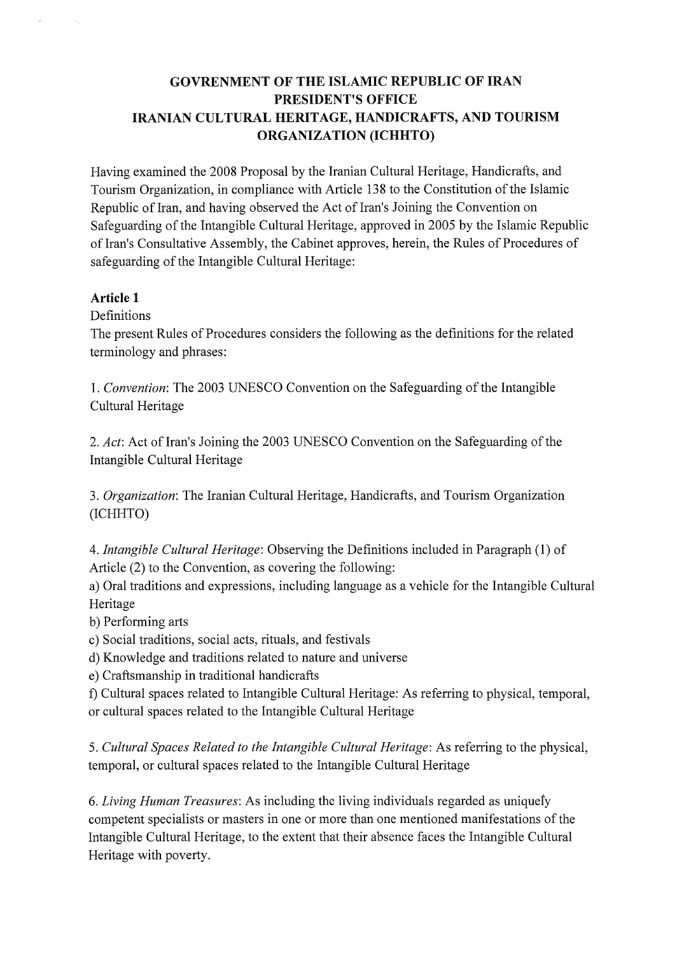# GOVRENMENT OF THE ISLAMIC REPUBLIC OF IRAN PRESIDENT'S OFFICE IRANIAN CULTURAL HERITAGE, HANDICRAFTS, AND TOURISM ORGANIZATION (ICHHTO)

Having examined the 2008 Proposal by the Iranian Cultural Heritage, Handicrafts, and Tourism Organization, in compliance with Article 138 to the Constitution of the Islamic Republic of Iran, and having observed the Act of Iran's Joining the Convention on Safeguarding of the Intangible Cultural Heritage, approved in 2005 by the Islamic Republic of Iran's Consultative Assembly, the Cabinet approves, herein, the Rules of Procedures of safeguarding of the Intangible Cultural Heritage:

### **Article** 1

**Definitions** 

The present Rules of Procedures considers the following as the definitions for the related terminology and phrases:

*1. Convention:* The 2003 UNESCO Convention on the Safeguarding ofthe Intangible Cultural Heritage

2. *Act*: Act of Iran's Joining the 2003 UNESCO Convention on the Safeguarding of the Intangible Cultural Heritage

*3. Organization:* The Iranian Cultural Heritage, Handicrafts, and Tourism Organization (ICHHTO)

*4. Intangible Cultural Heritage:* Observing the Definitions included in Paragraph (l) of Article (2) to the Convention, as covering the following:

a) Oral traditions and expressions, including language as a vehicle for the Intangible Cultural Heritage

b) Performing arts

c) Social traditions, social acts, rituals, and festivals

d) Knowledge and traditions related to nature and universe

e) Craftsmanship in traditional handicrafts

f) Cultural spaces related to Intangible Cultural Heritage: As referring to physical, temporal, or cultural spaces related to the Intangible Cultural Heritage

*5. Cultural Spaces Related to the Intangible Cultural Heritage:* As referring to the physical, temporal, or cultural spaces related to the Intangible Cultural Heritage

*6. Living Human Treasures:* As including the living individuals regarded as uniquely competent specialists or masters in one or more than one mentioned manifestations of the Intangible Cultural Heritage, to the extent that their absence faces the Intangible Cultural Heritage with poverty.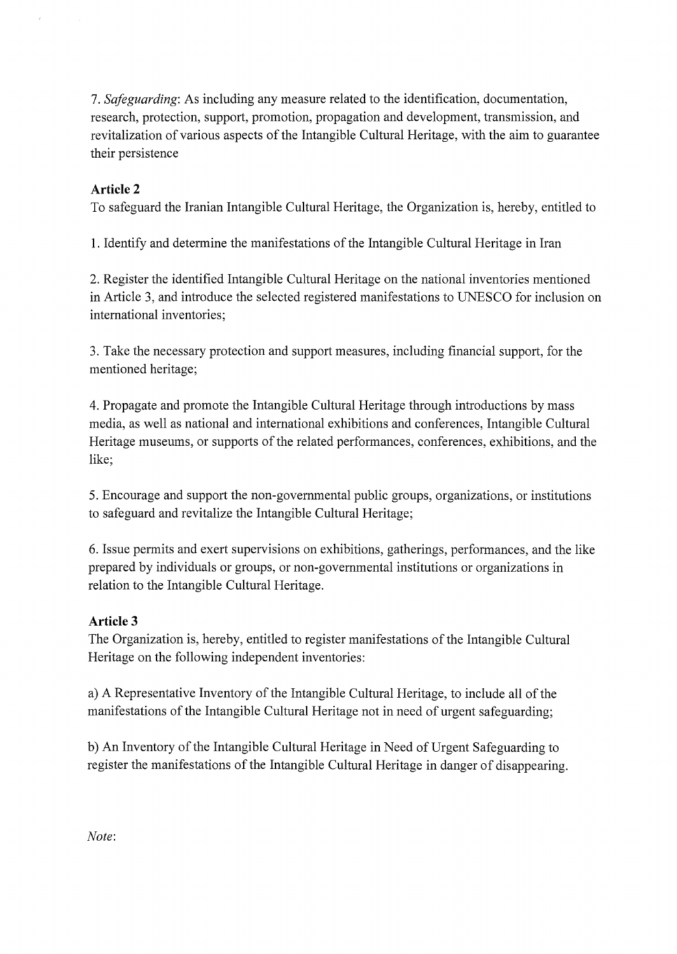*7. Safeguarding:* As including any measure related to the identification, documentation, research, protection, support, promotion, propagation and development, transmission, and revitalization of various aspects of the Intangible Cultural Heritage, with the aim to guarantee their persistence

### **Article 2**

To safeguard the Iranian Intangible Cultural Heritage, the Organization is, hereby, entitled to

1. Identify and determine the manifestations of the Intangible Cultural Heritage in Iran

2. Register the identified Intangible Cultural Heritage on the national inventories mentioned in Article 3, and introduce the selected registered manifestations to UNESCO for inclusion on international inventories;

3. Take the necessary protection and support measures, including financial support, for the mentioned heritage;

4. Propagate and promote the Intangible Cultural Heritage through introductions by mass media, as well as national and international exhibitions and conferences, Intangible Cultural Heritage museums, or supports of the related performances, conferences, exhibitions, and the like;

5. Encourage and support the non-governmental public groups, organizations, or institutions to safeguard and revitalize the Intangible Cultural Heritage;

6. Issue permits and exert supervisions on exhibitions, gatherings, performances, and the like prepared by individuals or groups, or non-governmental institutions or organizations in relation to the Intangible Cultural Heritage.

#### **Article 3**

The Organization is, hereby, entitled to register manifestations of the Intangible Cultural Heritage on the following independent inventories:

a) A Representative Inventory of the Intangible Cultural Heritage, to include all of the manifestations of the Intangible Cultural Heritage not in need of urgent safeguarding;

b) An Inventory of the Intangible Cultural Heritage in Need of Urgent Safeguarding to register the manifestations of the Intangible Cultural Heritage in danger of disappearing.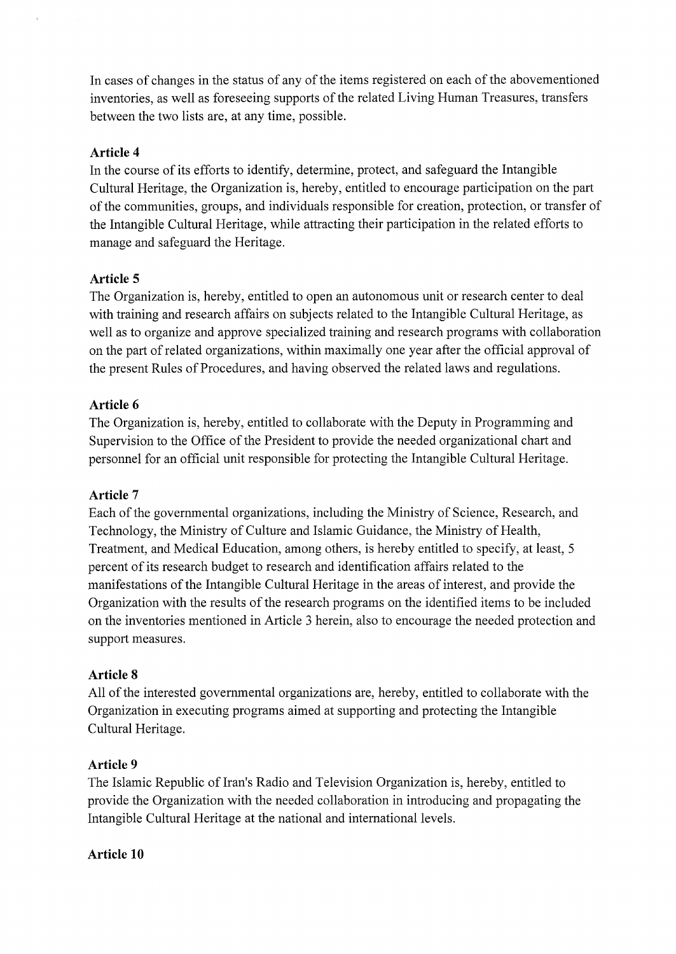In cases of changes in the status of any of the items registered on each of the abovementioned inventories, as well as foreseeing supports of the related Living Human Treasures, transfers between the two lists are, at any time, possible.

### **Article 4**

In the course of its efforts to identify, determine, protect, and safeguard the Intangible Cultural Heritage, the Organization is, hereby, entitled to encourage participation on the part ofthe communities, groups, and individuals responsible for creation, protection, or transfer of the Intangible Cultural Heritage, while attracting their participation in the related efforts to manage and safeguard the Heritage.

### **Article 5**

The Organization is, hereby, entitled to open an autonomous unit or research center to deal with training and research affairs on subjects related to the Intangible Cultural Heritage, as well as to organize and approve specialized training and research programs with collaboration on the part of related organizations, within maximally one year after the official approval of the present Rules of Procedures, and having observed the related laws and regulations.

### **Article 6**

The Organization is, hereby, entitled to collaborate with the Deputy in Programming and Supervision to the Office of the President to provide the needed organizational chart and personnel for an official unit responsible for protecting the Intangible Cultural Heritage.

## **Article** 7

Each of the governmental organizations, including the Ministry of Science, Research, and Technology, the Ministry of Culture and Islamic Guidance, the Ministry of Health, Treatment, and Medical Education, among others, is hereby entitled to specify, at least, 5 percent of its research budget to research and identification affairs related to the manifestations of the Intangible Cultural Heritage in the areas of interest, and provide the Organization with the results of the research programs on the identified items to be included on the inventories mentioned in Article 3 herein, also to encourage the needed protection and support measures.

## **Article 8**

All of the interested governmental organizations are, hereby, entitled to collaborate with the Organization in executing programs aimed at supporting and protecting the Intangible Cultural Heritage.

#### **Article 9**

The Islamic Republic of Iran's Radio and Television Organization is, hereby, entitled to provide the Organization with the needed collaboration in introducing and propagating the Intangible Cultural Heritage at the national and international levels.

#### **Article 10**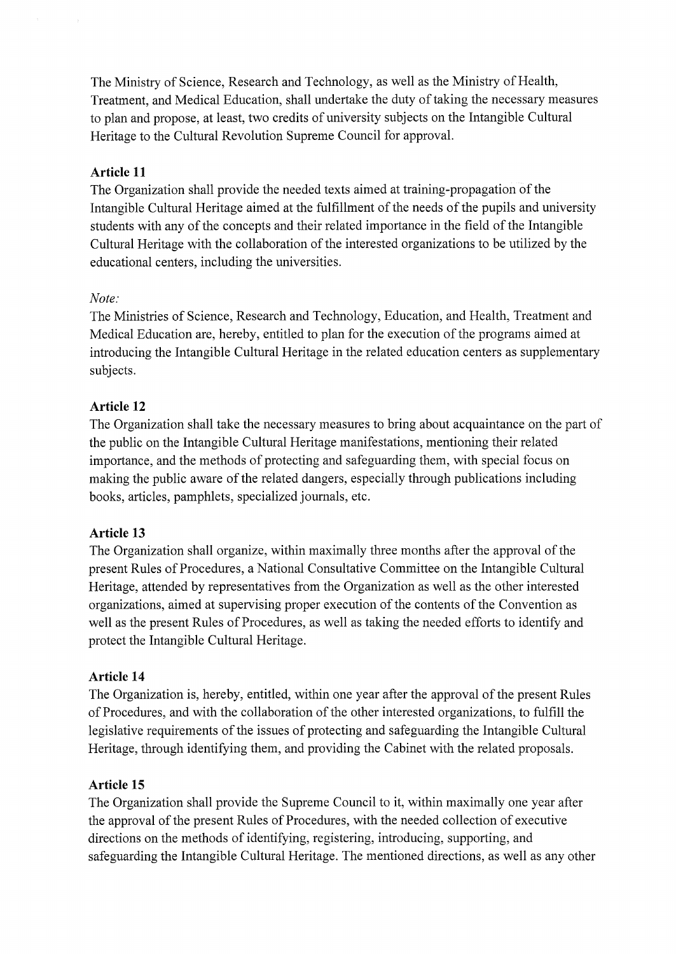The Ministry of Science, Research and Technology, as well as the Ministry of Health, Treatment, and Medical Education, shall undertake the duty of taking the necessary measures to plan and propose, at least, two credits of university subjects on the Intangible Cultural Heritage to the Cultural Revolution Supreme Council for approval.

#### **Article 11**

The Organization shall provide the needed texts aimed at training-propagation of the Intangible Cultural Heritage aimed at the fulfillment of the needs of the pupils and university students with any of the concepts and their related importance in the field of the Intangible Cultural Heritage with the collaboration of the interested organizations to be utilized by the educational centers, including the universities.

#### *Note:*

The Ministries of Science, Research and Technology, Education, and Health, Treatment and Medical Education are, hereby, entitled to plan for the execution of the programs aimed at introducing the Intangible Cultural Heritage in the related education centers as supplementary subjects.

### **Article 12**

The Organization shall take the necessary measures to bring about acquaintance on the part of the public on the Intangible Cultural Heritage manifestations, mentioning their related importance, and the methods of protecting and safeguarding them, with special focus on making the public aware of the related dangers, especially through publications including books, articles, pamphlets, specialized journals, etc.

#### **Article 13**

The Organization shall organize, within maximally three months after the approval of the present Rules of Procedures, a National Consultative Committee on the Intangible Cultural Heritage, attended by representatives from the Organization as well as the other interested organizations, aimed at supervising proper execution of the contents of the Convention as well as the present Rules of Procedures, as well as taking the needed efforts to identify and protect the Intangible Cultural Heritage.

#### **Article 14**

The Organization is, hereby, entitled, within one year after the approval of the present Rules of Procedures, and with the collaboration ofthe other interested organizations, to fulfill the legislative requirements of the issues of protecting and safeguarding the Intangible Cultural Heritage, through identifying them, and providing the Cabinet with the related proposals.

#### **Article 15**

The Organization shall provide the Supreme Council to it, within maximally one year after the approval of the present Rules of Procedures, with the needed collection of executive directions on the methods of identifying, registering, introducing, supporting, and safeguarding the Intangible Cultural Heritage. The mentioned directions, as well as any other